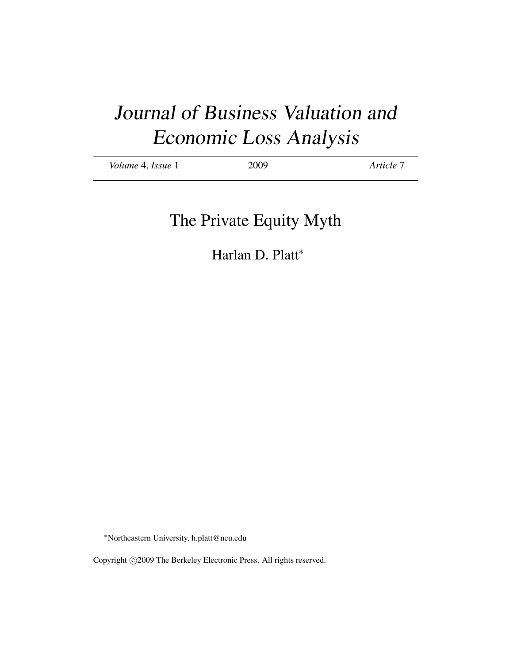# Journal of Business Valuation and Economic Loss Analysis

| Volume 4, Issue 1 | 2009 | Article 7 |
|-------------------|------|-----------|
|                   |      |           |

The Private Equity Myth

Harlan D. Platt<sup>\*</sup>

<sup>∗</sup>Northeastern University, h.platt@neu.edu

Copyright ©2009 The Berkeley Electronic Press. All rights reserved.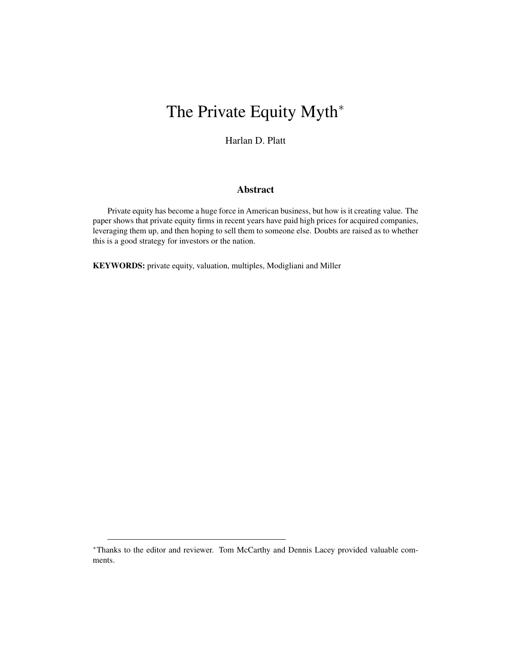## The Private Equity Myth<sup>\*</sup>

Harlan D. Platt

#### Abstract

Private equity has become a huge force in American business, but how is it creating value. The paper shows that private equity firms in recent years have paid high prices for acquired companies, leveraging them up, and then hoping to sell them to someone else. Doubts are raised as to whether this is a good strategy for investors or the nation.

KEYWORDS: private equity, valuation, multiples, Modigliani and Miller

<sup>∗</sup>Thanks to the editor and reviewer. Tom McCarthy and Dennis Lacey provided valuable comments.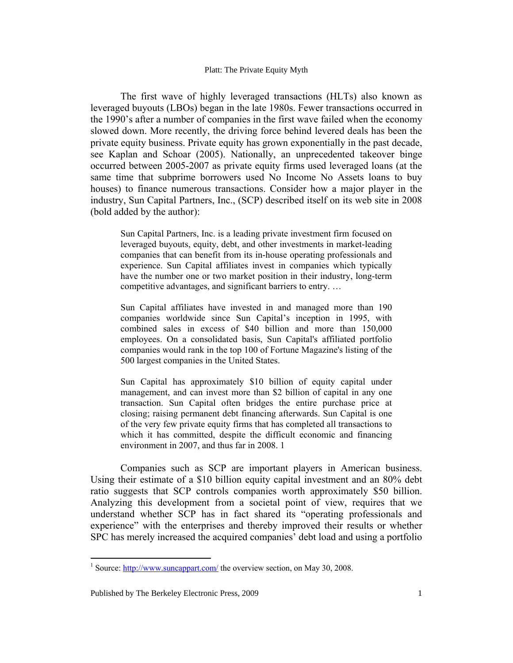The first wave of highly leveraged transactions (HLTs) also known as leveraged buyouts (LBOs) began in the late 1980s. Fewer transactions occurred in the 1990's after a number of companies in the first wave failed when the economy slowed down. More recently, the driving force behind levered deals has been the private equity business. Private equity has grown exponentially in the past decade, see Kaplan and Schoar (2005). Nationally, an unprecedented takeover binge occurred between 2005-2007 as private equity firms used leveraged loans (at the same time that subprime borrowers used No Income No Assets loans to buy houses) to finance numerous transactions. Consider how a major player in the industry, Sun Capital Partners, Inc., (SCP) described itself on its web site in 2008 (bold added by the author):

Sun Capital Partners, Inc. is a leading private investment firm focused on leveraged buyouts, equity, debt, and other investments in market-leading companies that can benefit from its in-house operating professionals and experience. Sun Capital affiliates invest in companies which typically have the number one or two market position in their industry, long-term competitive advantages, and significant barriers to entry. …

Sun Capital affiliates have invested in and managed more than 190 companies worldwide since Sun Capital's inception in 1995, with combined sales in excess of \$40 billion and more than 150,000 employees. On a consolidated basis, Sun Capital's affiliated portfolio companies would rank in the top 100 of Fortune Magazine's listing of the 500 largest companies in the United States.

Sun Capital has approximately \$10 billion of equity capital under management, and can invest more than \$2 billion of capital in any one transaction. Sun Capital often bridges the entire purchase price at closing; raising permanent debt financing afterwards. Sun Capital is one of the very few private equity firms that has completed all transactions to which it has committed, despite the difficult economic and financing environment in 2007, and thus far in 2008. 1

Companies such as SCP are important players in American business. Using their estimate of a \$10 billion equity capital investment and an 80% debt ratio suggests that SCP controls companies worth approximately \$50 billion. Analyzing this development from a societal point of view, requires that we understand whether SCP has in fact shared its "operating professionals and experience" with the enterprises and thereby improved their results or whether SPC has merely increased the acquired companies' debt load and using a portfolio

 $\overline{a}$ 

<sup>&</sup>lt;sup>1</sup> Source:  $\frac{http://www.suncappart.com/}{http://www.suncappart.com/}$  the overview section, on May 30, 2008.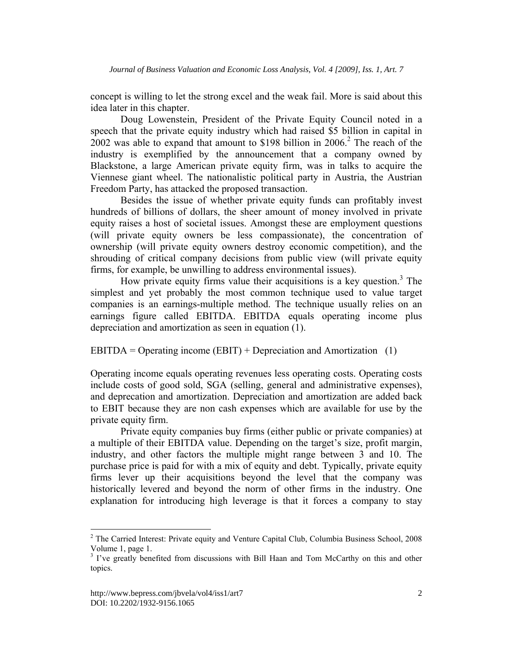concept is willing to let the strong excel and the weak fail. More is said about this idea later in this chapter.

Doug Lowenstein, President of the Private Equity Council noted in a speech that the private equity industry which had raised \$5 billion in capital in  $2002$  was able to expand that amount to \$198 billion in 2006.<sup>2</sup> The reach of the industry is exemplified by the announcement that a company owned by Blackstone, a large American private equity firm, was in talks to acquire the Viennese giant wheel. The nationalistic political party in Austria, the Austrian Freedom Party, has attacked the proposed transaction.

Besides the issue of whether private equity funds can profitably invest hundreds of billions of dollars, the sheer amount of money involved in private equity raises a host of societal issues. Amongst these are employment questions (will private equity owners be less compassionate), the concentration of ownership (will private equity owners destroy economic competition), and the shrouding of critical company decisions from public view (will private equity firms, for example, be unwilling to address environmental issues).

How private equity firms value their acquisitions is a key question.<sup>3</sup> The simplest and yet probably the most common technique used to value target companies is an earnings-multiple method. The technique usually relies on an earnings figure called EBITDA. EBITDA equals operating income plus depreciation and amortization as seen in equation (1).

 $EBITDA = Operating income (EBIT) + Depreciation and Amortization (1)$ 

Operating income equals operating revenues less operating costs. Operating costs include costs of good sold, SGA (selling, general and administrative expenses), and deprecation and amortization. Depreciation and amortization are added back to EBIT because they are non cash expenses which are available for use by the private equity firm.

Private equity companies buy firms (either public or private companies) at a multiple of their EBITDA value. Depending on the target's size, profit margin, industry, and other factors the multiple might range between 3 and 10. The purchase price is paid for with a mix of equity and debt. Typically, private equity firms lever up their acquisitions beyond the level that the company was historically levered and beyond the norm of other firms in the industry. One explanation for introducing high leverage is that it forces a company to stay

 $\overline{a}$ 

<sup>&</sup>lt;sup>2</sup> The Carried Interest: Private equity and Venture Capital Club, Columbia Business School, 2008 Volume 1, page 1.

<sup>&</sup>lt;sup>3</sup> I've greatly benefited from discussions with Bill Haan and Tom McCarthy on this and other topics.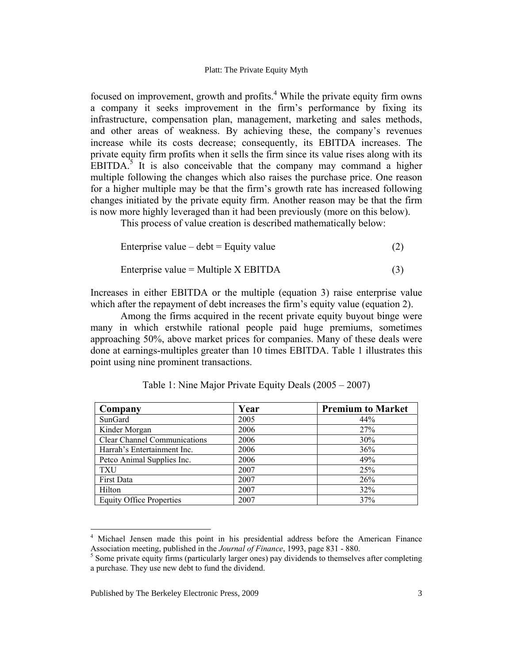focused on improvement, growth and profits.<sup>4</sup> While the private equity firm owns a company it seeks improvement in the firm's performance by fixing its infrastructure, compensation plan, management, marketing and sales methods, and other areas of weakness. By achieving these, the company's revenues increase while its costs decrease; consequently, its EBITDA increases. The private equity firm profits when it sells the firm since its value rises along with its EBITDA.<sup>5</sup> It is also conceivable that the company may command a higher multiple following the changes which also raises the purchase price. One reason for a higher multiple may be that the firm's growth rate has increased following changes initiated by the private equity firm. Another reason may be that the firm is now more highly leveraged than it had been previously (more on this below).

This process of value creation is described mathematically below:

Enterprise value – debt = Equity value  $(2)$ Enterprise value = Multiple  $X$  EBITDA (3)

Increases in either EBITDA or the multiple (equation 3) raise enterprise value which after the repayment of debt increases the firm's equity value (equation 2).

Among the firms acquired in the recent private equity buyout binge were many in which erstwhile rational people paid huge premiums, sometimes approaching 50%, above market prices for companies. Many of these deals were done at earnings-multiples greater than 10 times EBITDA. Table 1 illustrates this point using nine prominent transactions.

| Company                             | Year | <b>Premium to Market</b> |
|-------------------------------------|------|--------------------------|
| SunGard                             | 2005 | 44%                      |
| Kinder Morgan                       | 2006 | 27%                      |
| <b>Clear Channel Communications</b> | 2006 | 30%                      |
| Harrah's Entertainment Inc.         | 2006 | 36%                      |
| Petco Animal Supplies Inc.          | 2006 | 49%                      |
| TXU                                 | 2007 | 25%                      |
| First Data                          | 2007 | 26%                      |
| Hilton                              | 2007 | 32%                      |
| <b>Equity Office Properties</b>     | 2007 | 37%                      |

Table 1: Nine Major Private Equity Deals (2005 – 2007)

 $\overline{a}$ 

<sup>4</sup> Michael Jensen made this point in his presidential address before the American Finance Association meeting, published in the *Journal of Finance*, 1993, page 831 - 880. 5

 $<sup>5</sup>$  Some private equity firms (particularly larger ones) pay dividends to themselves after completing</sup> a purchase. They use new debt to fund the dividend.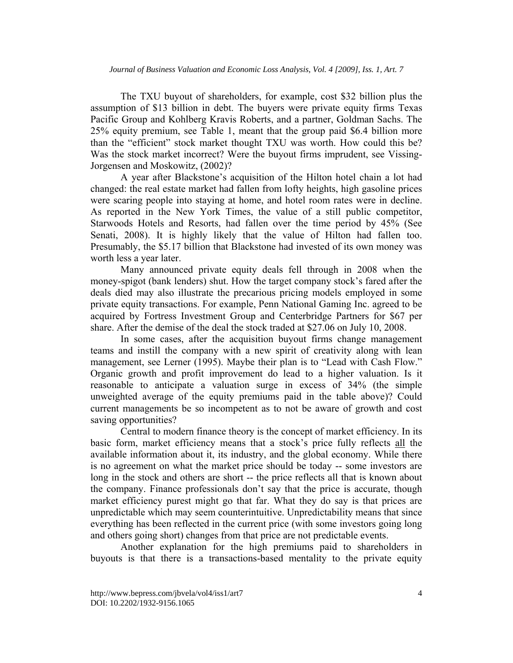The TXU buyout of shareholders, for example, cost \$32 billion plus the assumption of \$13 billion in debt. The buyers were private equity firms Texas Pacific Group and Kohlberg Kravis Roberts, and a partner, Goldman Sachs. The 25% equity premium, see Table 1, meant that the group paid \$6.4 billion more than the "efficient" stock market thought TXU was worth. How could this be? Was the stock market incorrect? Were the buyout firms imprudent, see Vissing-Jorgensen and Moskowitz, (2002)?

A year after Blackstone's acquisition of the Hilton hotel chain a lot had changed: the real estate market had fallen from lofty heights, high gasoline prices were scaring people into staying at home, and hotel room rates were in decline. As reported in the New York Times, the value of a still public competitor, Starwoods Hotels and Resorts, had fallen over the time period by 45% (See Senati, 2008). It is highly likely that the value of Hilton had fallen too. Presumably, the \$5.17 billion that Blackstone had invested of its own money was worth less a year later.

Many announced private equity deals fell through in 2008 when the money-spigot (bank lenders) shut. How the target company stock's fared after the deals died may also illustrate the precarious pricing models employed in some private equity transactions. For example, Penn National Gaming Inc. agreed to be acquired by Fortress Investment Group and Centerbridge Partners for \$67 per share. After the demise of the deal the stock traded at \$27.06 on July 10, 2008.

In some cases, after the acquisition buyout firms change management teams and instill the company with a new spirit of creativity along with lean management, see Lerner (1995). Maybe their plan is to "Lead with Cash Flow." Organic growth and profit improvement do lead to a higher valuation. Is it reasonable to anticipate a valuation surge in excess of 34% (the simple unweighted average of the equity premiums paid in the table above)? Could current managements be so incompetent as to not be aware of growth and cost saving opportunities?

Central to modern finance theory is the concept of market efficiency. In its basic form, market efficiency means that a stock's price fully reflects all the available information about it, its industry, and the global economy. While there is no agreement on what the market price should be today -- some investors are long in the stock and others are short -- the price reflects all that is known about the company. Finance professionals don't say that the price is accurate, though market efficiency purest might go that far. What they do say is that prices are unpredictable which may seem counterintuitive. Unpredictability means that since everything has been reflected in the current price (with some investors going long and others going short) changes from that price are not predictable events.

Another explanation for the high premiums paid to shareholders in buyouts is that there is a transactions-based mentality to the private equity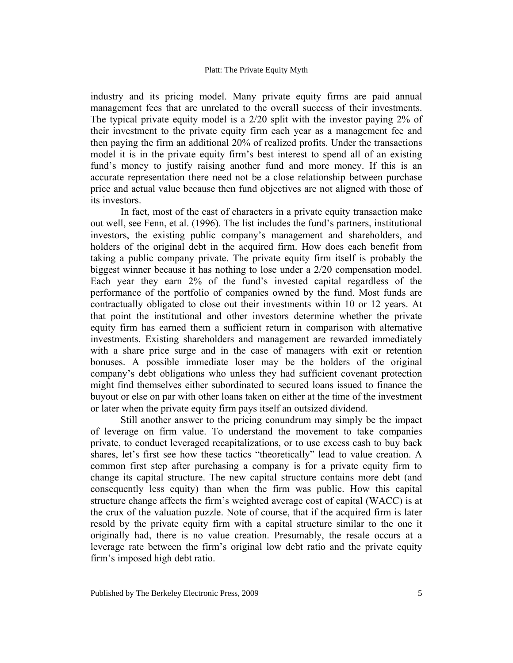industry and its pricing model. Many private equity firms are paid annual management fees that are unrelated to the overall success of their investments. The typical private equity model is a 2/20 split with the investor paying 2% of their investment to the private equity firm each year as a management fee and then paying the firm an additional 20% of realized profits. Under the transactions model it is in the private equity firm's best interest to spend all of an existing fund's money to justify raising another fund and more money. If this is an accurate representation there need not be a close relationship between purchase price and actual value because then fund objectives are not aligned with those of its investors.

In fact, most of the cast of characters in a private equity transaction make out well, see Fenn, et al. (1996). The list includes the fund's partners, institutional investors, the existing public company's management and shareholders, and holders of the original debt in the acquired firm. How does each benefit from taking a public company private. The private equity firm itself is probably the biggest winner because it has nothing to lose under a 2/20 compensation model. Each year they earn 2% of the fund's invested capital regardless of the performance of the portfolio of companies owned by the fund. Most funds are contractually obligated to close out their investments within 10 or 12 years. At that point the institutional and other investors determine whether the private equity firm has earned them a sufficient return in comparison with alternative investments. Existing shareholders and management are rewarded immediately with a share price surge and in the case of managers with exit or retention bonuses. A possible immediate loser may be the holders of the original company's debt obligations who unless they had sufficient covenant protection might find themselves either subordinated to secured loans issued to finance the buyout or else on par with other loans taken on either at the time of the investment or later when the private equity firm pays itself an outsized dividend.

Still another answer to the pricing conundrum may simply be the impact of leverage on firm value. To understand the movement to take companies private, to conduct leveraged recapitalizations, or to use excess cash to buy back shares, let's first see how these tactics "theoretically" lead to value creation. A common first step after purchasing a company is for a private equity firm to change its capital structure. The new capital structure contains more debt (and consequently less equity) than when the firm was public. How this capital structure change affects the firm's weighted average cost of capital (WACC) is at the crux of the valuation puzzle. Note of course, that if the acquired firm is later resold by the private equity firm with a capital structure similar to the one it originally had, there is no value creation. Presumably, the resale occurs at a leverage rate between the firm's original low debt ratio and the private equity firm's imposed high debt ratio.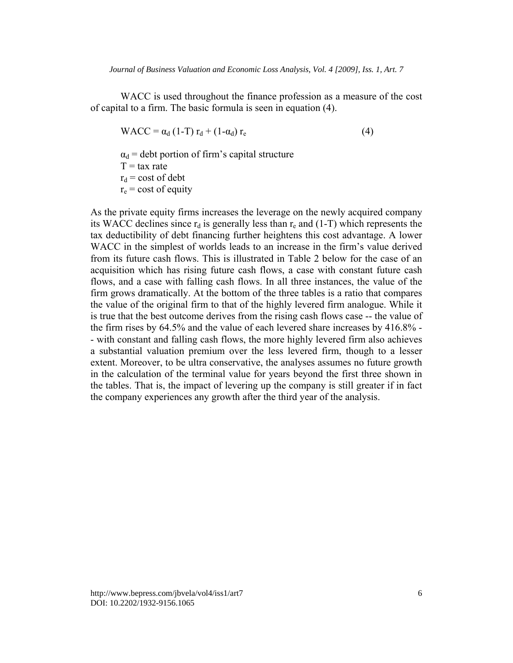WACC is used throughout the finance profession as a measure of the cost of capital to a firm. The basic formula is seen in equation (4).

$$
WACC = \alpha_d (1-T) r_d + (1-\alpha_d) r_e
$$
 (4)

 $\alpha_d$  = debt portion of firm's capital structure  $T = \text{tax rate}$  $r_d$  = cost of debt  $r_e$  = cost of equity

As the private equity firms increases the leverage on the newly acquired company its WACC declines since  $r_d$  is generally less than  $r_e$  and (1-T) which represents the tax deductibility of debt financing further heightens this cost advantage. A lower WACC in the simplest of worlds leads to an increase in the firm's value derived from its future cash flows. This is illustrated in Table 2 below for the case of an acquisition which has rising future cash flows, a case with constant future cash flows, and a case with falling cash flows. In all three instances, the value of the firm grows dramatically. At the bottom of the three tables is a ratio that compares the value of the original firm to that of the highly levered firm analogue. While it is true that the best outcome derives from the rising cash flows case -- the value of the firm rises by 64.5% and the value of each levered share increases by 416.8% - - with constant and falling cash flows, the more highly levered firm also achieves a substantial valuation premium over the less levered firm, though to a lesser extent. Moreover, to be ultra conservative, the analyses assumes no future growth in the calculation of the terminal value for years beyond the first three shown in the tables. That is, the impact of levering up the company is still greater if in fact the company experiences any growth after the third year of the analysis.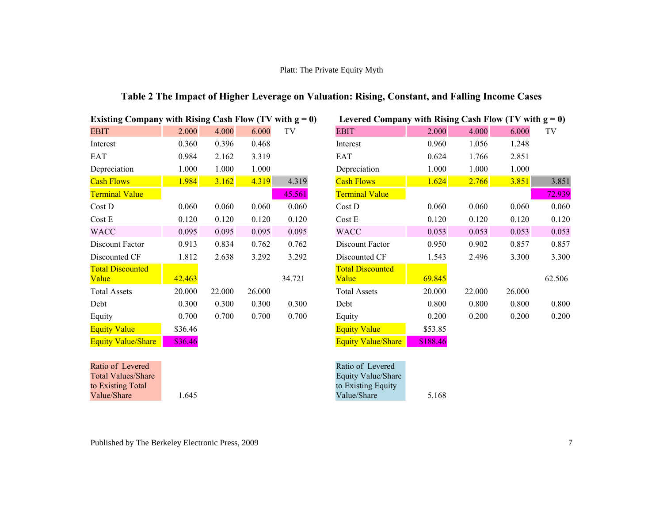### **Table 2 The Impact of Higher Leverage on Valuation: Rising, Constant, and Falling Income Cases**

| Existing Company with Rising Cash Flow (TV with $g = 0$ ) |         |        |        |        | <b>Levered Company with Rising Cash I</b> |          |        |
|-----------------------------------------------------------|---------|--------|--------|--------|-------------------------------------------|----------|--------|
| <b>EBIT</b>                                               | 2.000   | 4.000  | 6.000  | TV     | <b>EBIT</b>                               | 2.000    | 4.000  |
| Interest                                                  | 0.360   | 0.396  | 0.468  |        | Interest                                  | 0.960    | 1.056  |
| EAT                                                       | 0.984   | 2.162  | 3.319  |        | EAT                                       | 0.624    | 1.766  |
| Depreciation                                              | 1.000   | 1.000  | 1.000  |        | Depreciation                              | 1.000    | 1.000  |
| <b>Cash Flows</b>                                         | 1.984   | 3.162  | 4.319  | 4.319  | <b>Cash Flows</b>                         | 1.624    | 2.766  |
| <b>Terminal Value</b>                                     |         |        |        | 45.561 | <b>Terminal Value</b>                     |          |        |
| Cost D                                                    | 0.060   | 0.060  | 0.060  | 0.060  | Cost D                                    | 0.060    | 0.060  |
| Cost E                                                    | 0.120   | 0.120  | 0.120  | 0.120  | Cost E                                    | 0.120    | 0.120  |
| <b>WACC</b>                                               | 0.095   | 0.095  | 0.095  | 0.095  | <b>WACC</b>                               | 0.053    | 0.053  |
| Discount Factor                                           | 0.913   | 0.834  | 0.762  | 0.762  | Discount Factor                           | 0.950    | 0.902  |
| Discounted CF                                             | 1.812   | 2.638  | 3.292  | 3.292  | Discounted CF                             | 1.543    | 2.496  |
| <b>Total Discounted</b><br>Value                          | 42.463  |        |        | 34.721 | <b>Total Discounted</b><br><b>Value</b>   | 69.845   |        |
| <b>Total Assets</b>                                       | 20.000  | 22,000 | 26.000 |        | <b>Total Assets</b>                       | 20.000   | 22.000 |
| Debt                                                      | 0.300   | 0.300  | 0.300  | 0.300  | Debt                                      | 0.800    | 0.800  |
| Equity                                                    | 0.700   | 0.700  | 0.700  | 0.700  | Equity                                    | 0.200    | 0.200  |
| <b>Equity Value</b>                                       | \$36.46 |        |        |        | <b>Equity Value</b>                       | \$53.85  |        |
| <b>Equity Value/Share</b>                                 | \$36.46 |        |        |        | <b>Equity Value/Share</b>                 | \$188.46 |        |

| Existing Company with Rising Cash Flow (TV with $g = 0$ ) |         |         |        |        | Levered Company with Rising Cash Flow (TV with $g = 0$ ) |          |        |        |        |
|-----------------------------------------------------------|---------|---------|--------|--------|----------------------------------------------------------|----------|--------|--------|--------|
| EBIT                                                      | 2.000   | 4.000   | 6.000  | TV     | <b>EBIT</b>                                              | 2.000    | 4.000  | 6.000  | TV     |
| Interest                                                  | 0.360   | 0.396   | 0.468  |        | Interest                                                 | 0.960    | 1.056  | 1.248  |        |
| EAT                                                       | 0.984   | 2.162   | 3.319  |        | EAT                                                      | 0.624    | 1.766  | 2.851  |        |
| Depreciation                                              | 1.000   | 1.000   | 1.000  |        | Depreciation                                             | 1.000    | 1.000  | 1.000  |        |
| <b>Cash Flows</b>                                         | 1.984   | $3.162$ | 4.319  | 4.319  | <b>Cash Flows</b>                                        | 1.624    | 2.766  | 3.851  | 3.851  |
| <b>Terminal Value</b>                                     |         |         |        | 45.561 | <b>Terminal Value</b>                                    |          |        |        | 72.939 |
| Cost D                                                    | 0.060   | 0.060   | 0.060  | 0.060  | Cost D                                                   | 0.060    | 0.060  | 0.060  | 0.060  |
| Cost E                                                    | 0.120   | 0.120   | 0.120  | 0.120  | Cost E                                                   | 0.120    | 0.120  | 0.120  | 0.120  |
| <b>WACC</b>                                               | 0.095   | 0.095   | 0.095  | 0.095  | <b>WACC</b>                                              | 0.053    | 0.053  | 0.053  | 0.053  |
| Discount Factor                                           | 0.913   | 0.834   | 0.762  | 0.762  | Discount Factor                                          | 0.950    | 0.902  | 0.857  | 0.857  |
| Discounted CF                                             | 1.812   | 2.638   | 3.292  | 3.292  | Discounted CF                                            | 1.543    | 2.496  | 3.300  | 3.300  |
| <b>Total Discounted</b><br><b>Value</b>                   | 42.463  |         |        | 34.721 | <b>Total Discounted</b><br>Value <sup>1</sup>            | 69.845   |        |        | 62.506 |
| <b>Total Assets</b>                                       | 20.000  | 22.000  | 26.000 |        | <b>Total Assets</b>                                      | 20.000   | 22.000 | 26.000 |        |
| Debt                                                      | 0.300   | 0.300   | 0.300  | 0.300  | Debt                                                     | 0.800    | 0.800  | 0.800  | 0.800  |
| Equity                                                    | 0.700   | 0.700   | 0.700  | 0.700  | Equity                                                   | 0.200    | 0.200  | 0.200  | 0.200  |
| <b>Equity Value</b>                                       | \$36.46 |         |        |        | <b>Equity Value</b>                                      | \$53.85  |        |        |        |
| <b>Equity Value/Share</b>                                 | \$36.46 |         |        |        | <b>Equity Value/Share</b>                                | \$188.46 |        |        |        |

| Ratio of Levered          |       |
|---------------------------|-------|
| <b>Total Values/Share</b> |       |
| to Existing Total         |       |
| Value/Share               | 1.645 |

| Ratio of Levered          |       |
|---------------------------|-------|
| <b>Equity Value/Share</b> |       |
| to Existing Equity        |       |
| Value/Share               | 5.168 |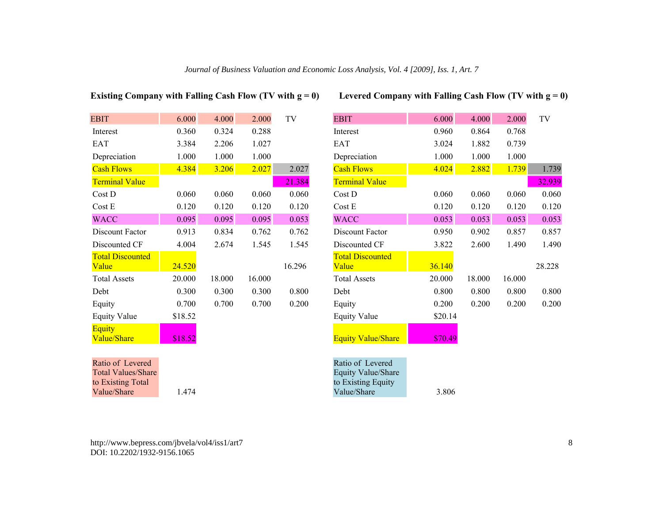| <b>EBIT</b>                             | 6.000   | 4.000  | 2.000  | TV     | <b>EBIT</b>                      | 6.000         | 4.000  |
|-----------------------------------------|---------|--------|--------|--------|----------------------------------|---------------|--------|
| Interest                                | 0.360   | 0.324  | 0.288  |        | Interest                         | 0.960         | 0.864  |
| EAT                                     | 3.384   | 2.206  | 1.027  |        | EAT                              | 3.024         | 1.882  |
| Depreciation                            | 1.000   | 1.000  | 1.000  |        | Depreciation                     | 1.000         | 1.000  |
| <b>Cash Flows</b>                       | 4.384   | 3.206  | 2.027  | 2.027  | <b>Cash Flows</b>                | 4.024         | 2.882  |
| <b>Terminal Value</b>                   |         |        |        | 21.384 | <b>Terminal Value</b>            |               |        |
| Cost D                                  | 0.060   | 0.060  | 0.060  | 0.060  | Cost D                           | 0.060         | 0.060  |
| Cost E                                  | 0.120   | 0.120  | 0.120  | 0.120  | Cost E                           | 0.120         | 0.120  |
| <b>WACC</b>                             | 0.095   | 0.095  | 0.095  | 0.053  | <b>WACC</b>                      | 0.053         | 0.053  |
| Discount Factor                         | 0.913   | 0.834  | 0.762  | 0.762  | Discount Factor                  | 0.950         | 0.902  |
| Discounted CF                           | 4.004   | 2.674  | 1.545  | 1.545  | Discounted CF                    | 3.822         | 2.600  |
| <b>Total Discounted</b><br><b>Value</b> | 24.520  |        |        | 16.296 | <b>Total Discounted</b><br>Value | <b>36.140</b> |        |
| <b>Total Assets</b>                     | 20.000  | 18.000 | 16.000 |        | <b>Total Assets</b>              | 20.000        | 18.000 |
| Debt                                    | 0.300   | 0.300  | 0.300  | 0.800  | Debt                             | 0.800         | 0.800  |
| Equity                                  | 0.700   | 0.700  | 0.700  | 0.200  | Equity                           | 0.200         | 0.200  |
| <b>Equity Value</b>                     | \$18.52 |        |        |        | <b>Equity Value</b>              | \$20.14       |        |
| <b>Equity</b><br>Value/Share            | \$18.52 |        |        |        | <b>Equity Value/Share</b>        | \$70.49       |        |

#### Existing Company with Falling Cash Flow (TV with g = 0) Levered Company with Falling Cash Flow (TV with g = 0)

| <b>EBIT</b>                             | 6.000   | 4.000  | 2.000  | TV     | <b>EBIT</b>                                   | 6.000   | 4.000  | 2.000  | TV     |
|-----------------------------------------|---------|--------|--------|--------|-----------------------------------------------|---------|--------|--------|--------|
| Interest                                | 0.360   | 0.324  | 0.288  |        | Interest                                      | 0.960   | 0.864  | 0.768  |        |
| EAT                                     | 3.384   | 2.206  | 1.027  |        | EAT                                           | 3.024   | 1.882  | 0.739  |        |
| Depreciation                            | 1.000   | 1.000  | 1.000  |        | Depreciation                                  | 1.000   | 1.000  | 1.000  |        |
| <b>Cash Flows</b>                       | 4.384   | 3.206  | 2.027  | 2.027  | <b>Cash Flows</b>                             | 4.024   | 2.882  | 1.739  | 1.739  |
| <b>Terminal Value</b>                   |         |        |        | 21.384 | <b>Terminal Value</b>                         |         |        |        | 32.939 |
| Cost D                                  | 0.060   | 0.060  | 0.060  | 0.060  | Cost D                                        | 0.060   | 0.060  | 0.060  | 0.060  |
| Cost E                                  | 0.120   | 0.120  | 0.120  | 0.120  | Cost E                                        | 0.120   | 0.120  | 0.120  | 0.120  |
| <b>WACC</b>                             | 0.095   | 0.095  | 0.095  | 0.053  | <b>WACC</b>                                   | 0.053   | 0.053  | 0.053  | 0.053  |
| Discount Factor                         | 0.913   | 0.834  | 0.762  | 0.762  | Discount Factor                               | 0.950   | 0.902  | 0.857  | 0.857  |
| Discounted CF                           | 4.004   | 2.674  | 1.545  | 1.545  | Discounted CF                                 | 3.822   | 2.600  | 1.490  | 1.490  |
| <b>Total Discounted</b><br><u>Value</u> | 24.520  |        |        | 16.296 | <b>Total Discounted</b><br>Value <sup>1</sup> | 36.140  |        |        | 28.228 |
| <b>Total Assets</b>                     | 20.000  | 18.000 | 16.000 |        | <b>Total Assets</b>                           | 20.000  | 18.000 | 16.000 |        |
| Debt                                    | 0.300   | 0.300  | 0.300  | 0.800  | Debt                                          | 0.800   | 0.800  | 0.800  | 0.800  |
| Equity                                  | 0.700   | 0.700  | 0.700  | 0.200  | Equity                                        | 0.200   | 0.200  | 0.200  | 0.200  |
| <b>Equity Value</b>                     | \$18.52 |        |        |        | <b>Equity Value</b>                           | \$20.14 |        |        |        |
| Equity<br>Value/Share                   | \$18.52 |        |        |        | <b>Equity Value/Share</b>                     | \$70.49 |        |        |        |
|                                         |         |        |        |        |                                               |         |        |        |        |

Ratio of Levered Total Values/Share to Existing Total Value/Share

1.474

Ratio of Levered Equity Value/Share to Existing Equity Value/Share 3.806

*Journal of Business Valuation and Economic Loss Analysis, Vol. 4 [2009], Iss. 1, Art. 7*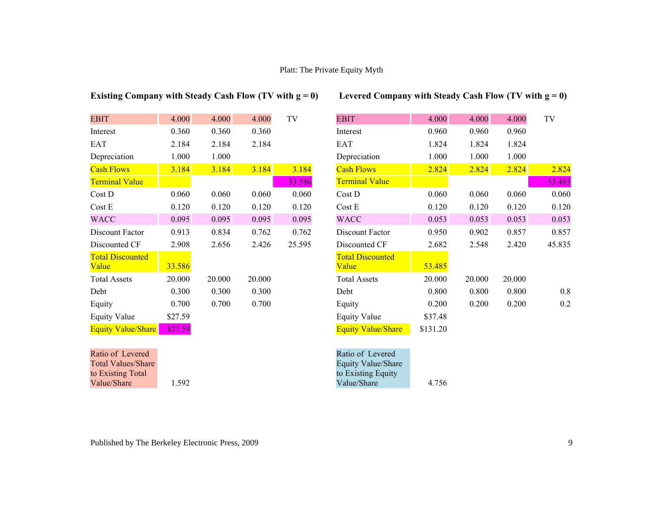#### **Existing Company with Steady Cash Flow (TV with g = 0)**

| Levered Company with Steady Cash Flow (TV with $g = 0$ ) |  |  |  |  |
|----------------------------------------------------------|--|--|--|--|
|----------------------------------------------------------|--|--|--|--|

| <b>EBIT</b>                      | 4.000   | 4.000  | 4.000  | TV     | <b>EBIT</b>                             | 4.000    | 4.000  |
|----------------------------------|---------|--------|--------|--------|-----------------------------------------|----------|--------|
| Interest                         | 0.360   | 0.360  | 0.360  |        | Interest                                | 0.960    | 0.960  |
| EAT                              | 2.184   | 2.184  | 2.184  |        | EAT                                     | 1.824    | 1.824  |
| Depreciation                     | 1.000   | 1.000  |        |        | Depreciation                            | 1.000    | 1.000  |
| <b>Cash Flows</b>                | 3.184   | 3.184  | 3.184  | 3.184  | <b>Cash Flows</b>                       | 2.824    | 2.824  |
| <b>Terminal Value</b>            |         |        |        | 33.586 | <b>Terminal Value</b>                   |          |        |
| Cost D                           | 0.060   | 0.060  | 0.060  | 0.060  | Cost D                                  | 0.060    | 0.060  |
| Cost E                           | 0.120   | 0.120  | 0.120  | 0.120  | Cost E                                  | 0.120    | 0.120  |
| <b>WACC</b>                      | 0.095   | 0.095  | 0.095  | 0.095  | <b>WACC</b>                             | 0.053    | 0.053  |
| Discount Factor                  | 0.913   | 0.834  | 0.762  | 0.762  | Discount Factor                         | 0.950    | 0.902  |
| Discounted CF                    | 2.908   | 2.656  | 2.426  | 25.595 | Discounted CF                           | 2.682    | 2.548  |
| <b>Total Discounted</b><br>Value | 33.586  |        |        |        | <b>Total Discounted</b><br><b>Value</b> | 53.485   |        |
| <b>Total Assets</b>              | 20.000  | 20.000 | 20.000 |        | <b>Total Assets</b>                     | 20.000   | 20.000 |
| Debt                             | 0.300   | 0.300  | 0.300  |        | Debt                                    | 0.800    | 0.800  |
| Equity                           | 0.700   | 0.700  | 0.700  |        | Equity                                  | 0.200    | 0.200  |
| <b>Equity Value</b>              | \$27.59 |        |        |        | <b>Equity Value</b>                     | \$37.48  |        |
| <b>Equity Value/Share</b>        | \$27.59 |        |        |        | <b>Equity Value/Share</b>               | \$131.20 |        |
| Ratio of Levered                 |         |        |        |        | Ratio of Levered                        |          |        |
| $T - 1$ $T - 1 - 1$              |         |        |        |        | $\Gamma = L_{11} L_{12} L_{23}$         |          |        |

| <b>EBIT</b>                      | 4.000   | 4.000  | 4.000  | TV     | <b>EBIT</b>                      | 4.000    | 4.000  | 4.000  | TV     |
|----------------------------------|---------|--------|--------|--------|----------------------------------|----------|--------|--------|--------|
| Interest                         | 0.360   | 0.360  | 0.360  |        | Interest                         | 0.960    | 0.960  | 0.960  |        |
| EAT                              | 2.184   | 2.184  | 2.184  |        | EAT                              | 1.824    | 1.824  | 1.824  |        |
| Depreciation                     | 1.000   | 1.000  |        |        | Depreciation                     | 1.000    | 1.000  | 1.000  |        |
| <b>Cash Flows</b>                | 3.184   | 3.184  | 3.184  | 3.184  | <b>Cash Flows</b>                | 2.824    | 2.824  | 2.824  | 2.824  |
| <b>Terminal Value</b>            |         |        |        | 33.586 | <b>Terminal Value</b>            |          |        |        | 53.485 |
| Cost D                           | 0.060   | 0.060  | 0.060  | 0.060  | Cost D                           | 0.060    | 0.060  | 0.060  | 0.060  |
| Cost E                           | 0.120   | 0.120  | 0.120  | 0.120  | Cost E                           | 0.120    | 0.120  | 0.120  | 0.120  |
| <b>WACC</b>                      | 0.095   | 0.095  | 0.095  | 0.095  | <b>WACC</b>                      | 0.053    | 0.053  | 0.053  | 0.053  |
| Discount Factor                  | 0.913   | 0.834  | 0.762  | 0.762  | Discount Factor                  | 0.950    | 0.902  | 0.857  | 0.857  |
| Discounted CF                    | 2.908   | 2.656  | 2.426  | 25.595 | Discounted CF                    | 2.682    | 2.548  | 2.420  | 45.835 |
| <b>Total Discounted</b><br>Value | 33.586  |        |        |        | <b>Total Discounted</b><br>Value | 53.485   |        |        |        |
| <b>Total Assets</b>              | 20.000  | 20,000 | 20.000 |        | <b>Total Assets</b>              | 20.000   | 20.000 | 20.000 |        |
| Debt                             | 0.300   | 0.300  | 0.300  |        | Debt                             | 0.800    | 0.800  | 0.800  | 0.8    |
| Equity                           | 0.700   | 0.700  | 0.700  |        | Equity                           | 0.200    | 0.200  | 0.200  | 0.2    |
| <b>Equity Value</b>              | \$27.59 |        |        |        | <b>Equity Value</b>              | \$37.48  |        |        |        |
| <b>Equity Value/Share</b>        | \$27.59 |        |        |        | <b>Equity Value/Share</b>        | \$131.20 |        |        |        |

Total Values/Share to Existing Total Value/Share

1.592

| Ratio of Levered          |       |
|---------------------------|-------|
| <b>Equity Value/Share</b> |       |
| to Existing Equity        |       |
| Value/Share               | 4.756 |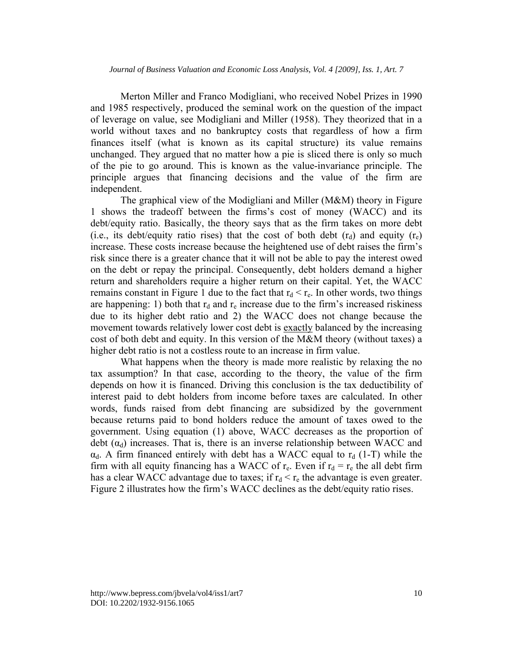Merton Miller and Franco Modigliani, who received Nobel Prizes in 1990 and 1985 respectively, produced the seminal work on the question of the impact of leverage on value, see Modigliani and Miller (1958). They theorized that in a world without taxes and no bankruptcy costs that regardless of how a firm finances itself (what is known as its capital structure) its value remains unchanged. They argued that no matter how a pie is sliced there is only so much of the pie to go around. This is known as the value-invariance principle. The principle argues that financing decisions and the value of the firm are independent.

The graphical view of the Modigliani and Miller (M&M) theory in Figure 1 shows the tradeoff between the firms's cost of money (WACC) and its debt/equity ratio. Basically, the theory says that as the firm takes on more debt (i.e., its debt/equity ratio rises) that the cost of both debt  $(r_d)$  and equity  $(r_e)$ increase. These costs increase because the heightened use of debt raises the firm's risk since there is a greater chance that it will not be able to pay the interest owed on the debt or repay the principal. Consequently, debt holders demand a higher return and shareholders require a higher return on their capital. Yet, the WACC remains constant in Figure 1 due to the fact that  $r_d < r_e$ . In other words, two things are happening: 1) both that  $r_d$  and  $r_e$  increase due to the firm's increased riskiness due to its higher debt ratio and 2) the WACC does not change because the movement towards relatively lower cost debt is exactly balanced by the increasing cost of both debt and equity. In this version of the M&M theory (without taxes) a higher debt ratio is not a costless route to an increase in firm value.

 What happens when the theory is made more realistic by relaxing the no tax assumption? In that case, according to the theory, the value of the firm depends on how it is financed. Driving this conclusion is the tax deductibility of interest paid to debt holders from income before taxes are calculated. In other words, funds raised from debt financing are subsidized by the government because returns paid to bond holders reduce the amount of taxes owed to the government. Using equation (1) above, WACC decreases as the proportion of debt  $(\alpha_d)$  increases. That is, there is an inverse relationship between WACC and  $\alpha_d$ . A firm financed entirely with debt has a WACC equal to  $r_d$  (1-T) while the firm with all equity financing has a WACC of  $r_e$ . Even if  $r_d = r_e$  the all debt firm has a clear WACC advantage due to taxes; if  $r_d < r_e$  the advantage is even greater. Figure 2 illustrates how the firm's WACC declines as the debt/equity ratio rises.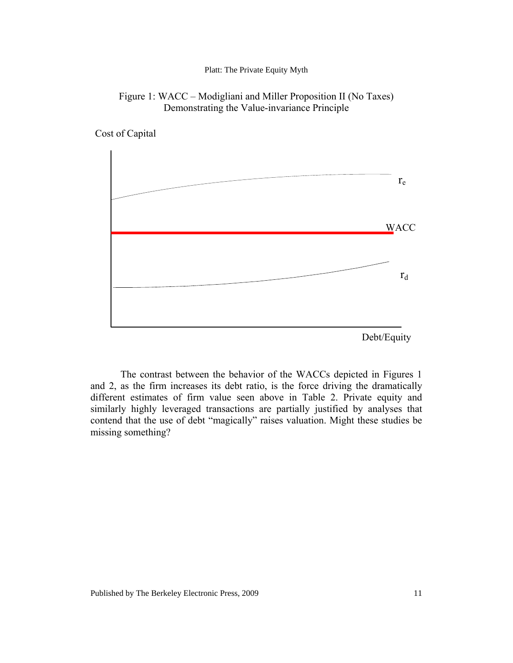#### Figure 1: WACC – Modigliani and Miller Proposition II (No Taxes) Demonstrating the Value-invariance Principle

#### Cost of Capital



The contrast between the behavior of the WACCs depicted in Figures 1 and 2, as the firm increases its debt ratio, is the force driving the dramatically different estimates of firm value seen above in Table 2. Private equity and similarly highly leveraged transactions are partially justified by analyses that contend that the use of debt "magically" raises valuation. Might these studies be missing something?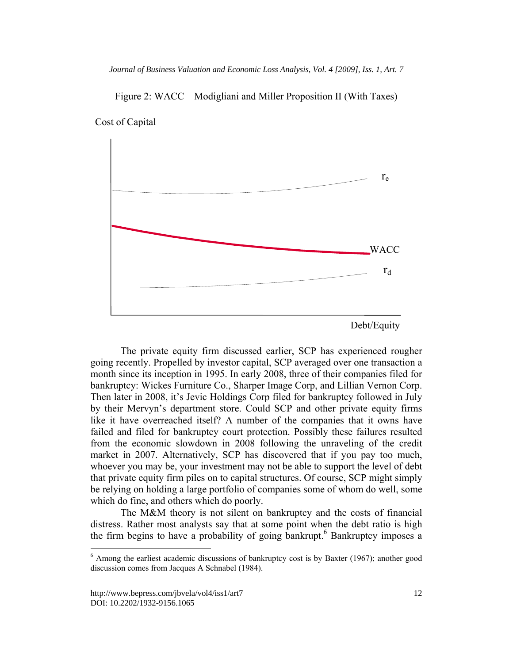*Journal of Business Valuation and Economic Loss Analysis, Vol. 4 [2009], Iss. 1, Art. 7*

Debt/Equity **WACC**  $r_e$  $r_d$ 

Figure 2: WACC – Modigliani and Miller Proposition II (With Taxes)

The private equity firm discussed earlier, SCP has experienced rougher going recently. Propelled by investor capital, SCP averaged over one transaction a month since its inception in 1995. In early 2008, three of their companies filed for bankruptcy: Wickes Furniture Co., Sharper Image Corp, and Lillian Vernon Corp. Then later in 2008, it's Jevic Holdings Corp filed for bankruptcy followed in July by their Mervyn's department store. Could SCP and other private equity firms like it have overreached itself? A number of the companies that it owns have failed and filed for bankruptcy court protection. Possibly these failures resulted from the economic slowdown in 2008 following the unraveling of the credit market in 2007. Alternatively, SCP has discovered that if you pay too much, whoever you may be, your investment may not be able to support the level of debt that private equity firm piles on to capital structures. Of course, SCP might simply be relying on holding a large portfolio of companies some of whom do well, some which do fine, and others which do poorly.

The M&M theory is not silent on bankruptcy and the costs of financial distress. Rather most analysts say that at some point when the debt ratio is high the firm begins to have a probability of going bankrupt.<sup>6</sup> Bankruptcy imposes a

 $\overline{a}$ 

Cost of Capital

<sup>&</sup>lt;sup>6</sup> Among the earliest academic discussions of bankruptcy cost is by Baxter (1967); another good discussion comes from Jacques A Schnabel (1984).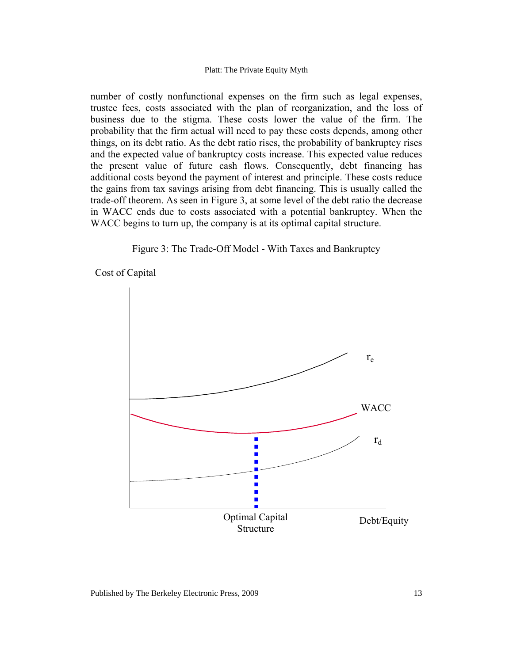number of costly nonfunctional expenses on the firm such as legal expenses, trustee fees, costs associated with the plan of reorganization, and the loss of business due to the stigma. These costs lower the value of the firm. The probability that the firm actual will need to pay these costs depends, among other things, on its debt ratio. As the debt ratio rises, the probability of bankruptcy rises and the expected value of bankruptcy costs increase. This expected value reduces the present value of future cash flows. Consequently, debt financing has additional costs beyond the payment of interest and principle. These costs reduce the gains from tax savings arising from debt financing. This is usually called the trade-off theorem. As seen in Figure 3, at some level of the debt ratio the decrease in WACC ends due to costs associated with a potential bankruptcy. When the WACC begins to turn up, the company is at its optimal capital structure.

Figure 3: The Trade-Off Model - With Taxes and Bankruptcy



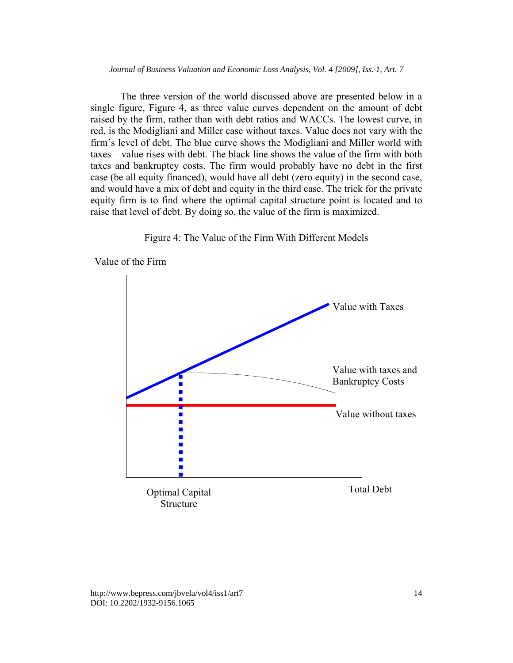The three version of the world discussed above are presented below in a single figure, Figure 4, as three value curves dependent on the amount of debt raised by the firm, rather than with debt ratios and WACCs. The lowest curve, in red, is the Modigliani and Miller case without taxes. Value does not vary with the firm's level of debt. The blue curve shows the Modigliani and Miller world with taxes – value rises with debt. The black line shows the value of the firm with both taxes and bankruptcy costs. The firm would probably have no debt in the first case (be all equity financed), would have all debt (zero equity) in the second case, and would have a mix of debt and equity in the third case. The trick for the private equity firm is to find where the optimal capital structure point is located and to raise that level of debt. By doing so, the value of the firm is maximized.



Total Debt Value without taxes Value with Taxes Value with taxes and Bankruptcy Costs Optimal Capital **Structure** 

Value of the Firm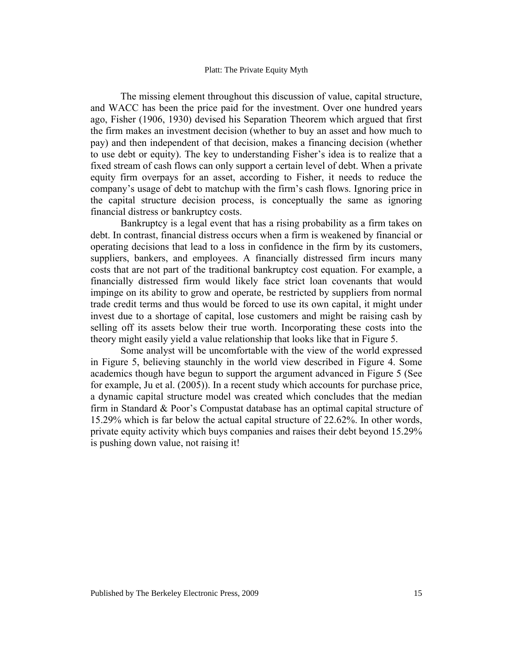The missing element throughout this discussion of value, capital structure, and WACC has been the price paid for the investment. Over one hundred years ago, Fisher (1906, 1930) devised his Separation Theorem which argued that first the firm makes an investment decision (whether to buy an asset and how much to pay) and then independent of that decision, makes a financing decision (whether to use debt or equity). The key to understanding Fisher's idea is to realize that a fixed stream of cash flows can only support a certain level of debt. When a private equity firm overpays for an asset, according to Fisher, it needs to reduce the company's usage of debt to matchup with the firm's cash flows. Ignoring price in the capital structure decision process, is conceptually the same as ignoring financial distress or bankruptcy costs.

Bankruptcy is a legal event that has a rising probability as a firm takes on debt. In contrast, financial distress occurs when a firm is weakened by financial or operating decisions that lead to a loss in confidence in the firm by its customers, suppliers, bankers, and employees. A financially distressed firm incurs many costs that are not part of the traditional bankruptcy cost equation. For example, a financially distressed firm would likely face strict loan covenants that would impinge on its ability to grow and operate, be restricted by suppliers from normal trade credit terms and thus would be forced to use its own capital, it might under invest due to a shortage of capital, lose customers and might be raising cash by selling off its assets below their true worth. Incorporating these costs into the theory might easily yield a value relationship that looks like that in Figure 5.

Some analyst will be uncomfortable with the view of the world expressed in Figure 5, believing staunchly in the world view described in Figure 4. Some academics though have begun to support the argument advanced in Figure 5 (See for example, Ju et al. (2005)). In a recent study which accounts for purchase price, a dynamic capital structure model was created which concludes that the median firm in Standard & Poor's Compustat database has an optimal capital structure of 15.29% which is far below the actual capital structure of 22.62%. In other words, private equity activity which buys companies and raises their debt beyond 15.29% is pushing down value, not raising it!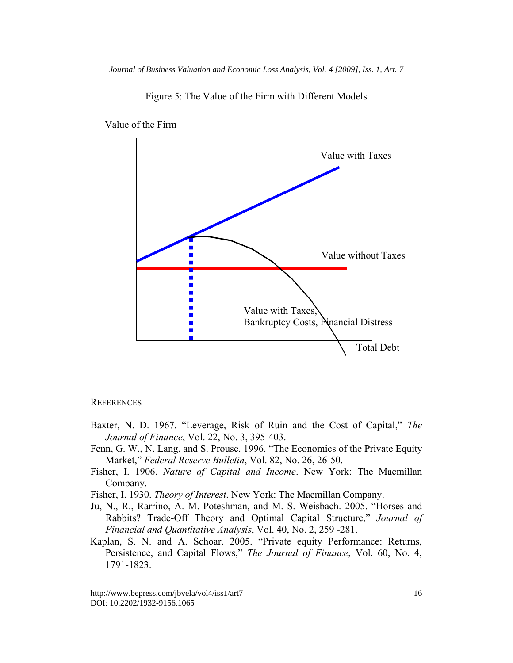

Value of the Firm



#### **REFERENCES**

- Baxter, N. D. 1967. "Leverage, Risk of Ruin and the Cost of Capital," *The Journal of Finance*, Vol. 22, No. 3, 395-403.
- Fenn, G. W., N. Lang, and S. Prouse. 1996. "The Economics of the Private Equity Market," *Federal Reserve Bulletin*, Vol. 82, No. 26, 26-50.
- Fisher, I. 1906. *Nature of Capital and Income*. New York: The Macmillan Company.
- Fisher, I. 1930. *Theory of Interest*. New York: The Macmillan Company.
- Ju, N., R., Rarrino, A. M. Poteshman, and M. S. Weisbach. 2005. "Horses and Rabbits? Trade-Off Theory and Optimal Capital Structure," *Journal of Financial and Quantitative Analysis*, Vol. 40, No. 2, 259 -281.
- Kaplan, S. N. and A. Schoar. 2005. "Private equity Performance: Returns, Persistence, and Capital Flows," *The Journal of Finance*, Vol. 60, No. 4, 1791-1823.

http://www.bepress.com/jbvela/vol4/iss1/art7 DOI: 10.2202/1932-9156.1065